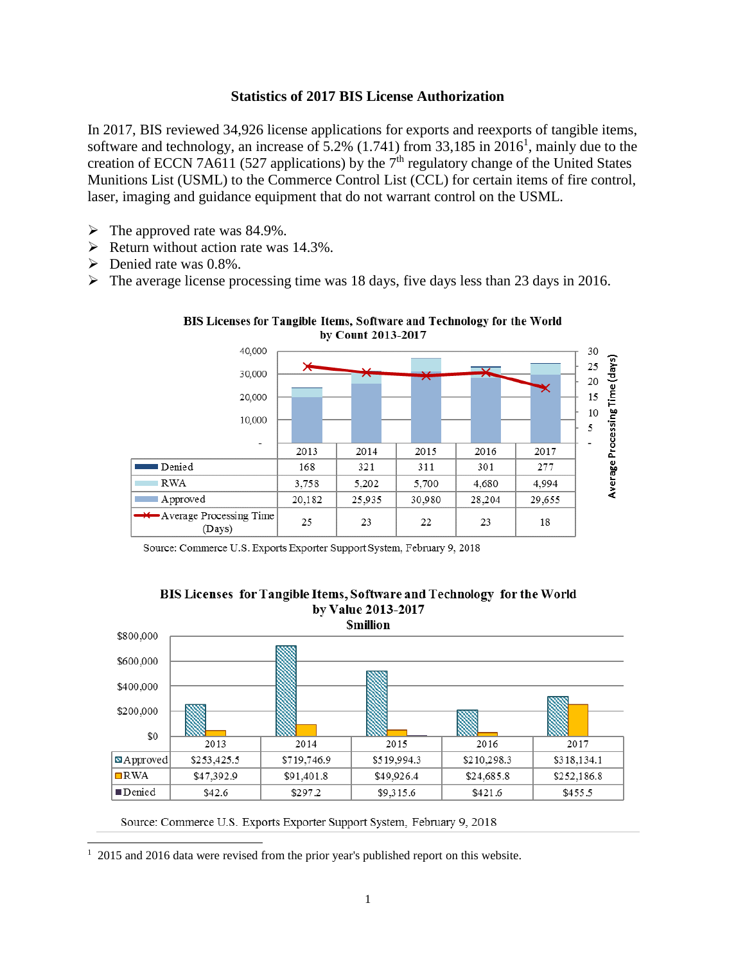## **Statistics of 2017 BIS License Authorization**

In 2017, BIS reviewed 34,926 license applications for exports and reexports of tangible items, software and technology, an increase of  $5.2\%$  (1.741) from 33,185 in  $2016<sup>1</sup>$ , mainly due to the creation of ECCN 7A611 (527 applications) by the  $7<sup>th</sup>$  regulatory change of the United States Munitions List (USML) to the Commerce Control List (CCL) for certain items of fire control, laser, imaging and guidance equipment that do not warrant control on the USML.

- $\triangleright$  The approved rate was 84.9%.
- $\triangleright$  Return without action rate was 14.3%.
- $\triangleright$  Denied rate was 0.8%.

 $\overline{a}$ 

 $\triangleright$  The average license processing time was 18 days, five days less than 23 days in 2016.





Source: Commerce U.S. Exports Exporter Support System, February 9, 2018



## BIS Licenses for Tangible Items, Software and Technology for the World by Value 2013-2017

Source: Commerce U.S. Exports Exporter Support System, February 9, 2018

<sup>&</sup>lt;sup>1</sup> 2015 and 2016 data were revised from the prior year's published report on this website.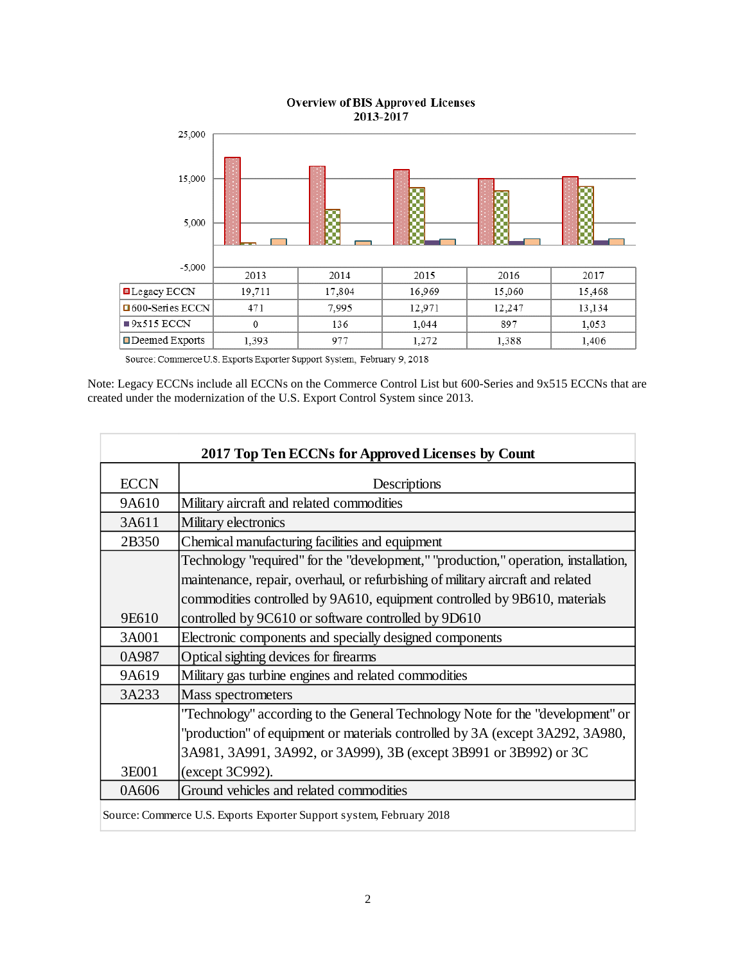

## **Overview of BIS Approved Licenses** 2013-2017

Source: Commerce U.S. Exports Exporter Support System, February 9, 2018

Note: Legacy ECCNs include all ECCNs on the Commerce Control List but 600-Series and 9x515 ECCNs that are created under the modernization of the U.S. Export Control System since 2013.

| 2017 Top Ten ECCNs for Approved Licenses by Count                    |                                                                                     |  |  |  |  |  |  |
|----------------------------------------------------------------------|-------------------------------------------------------------------------------------|--|--|--|--|--|--|
| <b>ECCN</b>                                                          | Descriptions                                                                        |  |  |  |  |  |  |
| 9A610                                                                | Military aircraft and related commodities                                           |  |  |  |  |  |  |
| 3A611                                                                | Military electronics                                                                |  |  |  |  |  |  |
| 2B350                                                                | Chemical manufacturing facilities and equipment                                     |  |  |  |  |  |  |
|                                                                      | Technology "required" for the "development," "production," operation, installation, |  |  |  |  |  |  |
|                                                                      | maintenance, repair, overhaul, or refurbishing of military aircraft and related     |  |  |  |  |  |  |
|                                                                      | commodities controlled by 9A610, equipment controlled by 9B610, materials           |  |  |  |  |  |  |
| 9E610                                                                | controlled by 9C610 or software controlled by 9D610                                 |  |  |  |  |  |  |
| 3A001                                                                | Electronic components and specially designed components                             |  |  |  |  |  |  |
| 0A987                                                                | Optical sighting devices for firearms                                               |  |  |  |  |  |  |
| 9A619                                                                | Military gas turbine engines and related commodities                                |  |  |  |  |  |  |
| 3A233                                                                | Mass spectrometers                                                                  |  |  |  |  |  |  |
|                                                                      | "Technology" according to the General Technology Note for the "development" or      |  |  |  |  |  |  |
|                                                                      | "production" of equipment or materials controlled by 3A (except 3A292, 3A980,       |  |  |  |  |  |  |
|                                                                      | 3A981, 3A991, 3A992, or 3A999), 3B (except 3B991 or 3B992) or 3C                    |  |  |  |  |  |  |
| 3E001                                                                | (except 3C992).                                                                     |  |  |  |  |  |  |
| 0A606                                                                | Ground vehicles and related commodities                                             |  |  |  |  |  |  |
| Source: Commerce U.S. Exports Exporter Support system, February 2018 |                                                                                     |  |  |  |  |  |  |